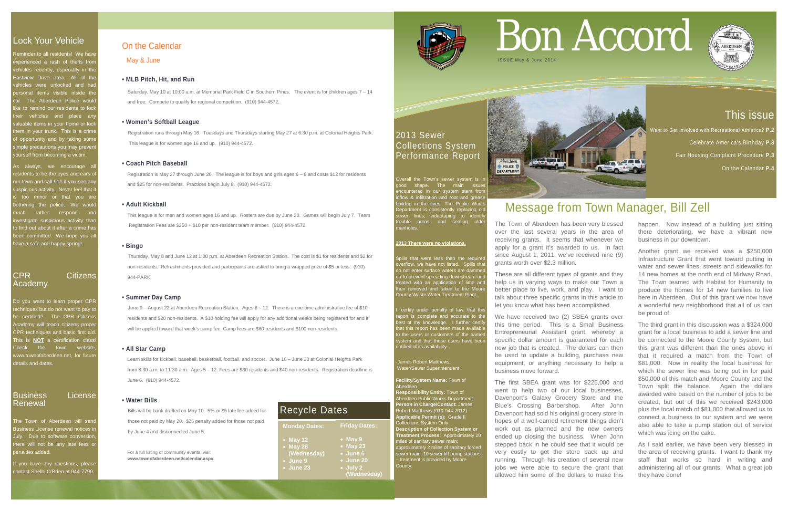# This issue

Want to Get Involved with Recreational Athletics? **P.2** 

Celebrate America's Birthday **P.3**

Fair Housing Complaint Procedure **P.3**

On the Calendar **P.4**

# Lock Your Vehicle

Peminder to all residents! We have experienced a rash of thefts from ehicles recently, especially in the Eastview Drive area. All of the ehicles were unlocked and had personal items visible inside the car. The Aberdeen Police would like to remind our residents to lock heir vehicles and place any valuable items in your home or lock them in your trunk. This is a crime f opportunity and by taking som imple precautions you may preven yourself from becoming a victim.

As always, we encourage a esidents to be the eyes and ears of our town and call 911 if you see any suspicious activity. Never feel that it too minor or that you are othering the police. We would much rather respond and ivestigate suspicious activity than to find out about it after a crime has been committed. We hope you all have a safe and happy spring!

The Town of Aberdeen will send **Business License renewal notices in** July. Due to software conversion, here will not be any late fees or penalties added.

f you have any questions, please contact Shelbi O'Brien at 944-7799

Overall the Town's sewer system is ir ood shape. The main issues countered in our system stem from inflow & infiltration and root and grease buildup in the lines. The Public Works Department is consistently replacing old sewer lines, videotaping to identify ouble areas, and sealing olde manholes.

# CPR Citizens Academy

Do you want to learn proper CPR echniques but do not want to pay to be certified? The CPR Citizens Academy will teach citizens proper CPR techniques and basic first aid. This is **NOT** a certification class! Check the town website www.townofaberdeen.net, for future details and dates.

James Robert Matthews, Water/Sewer Superintendent

# Business License Renewal

# 2013 Sewer Collections System Performance Report

### **2013 There were no violations.**

Spills that were less than the required overflow, we have not listed. Spills that women, no have not holds. Spille the<br>lo not enter surface waters are damme up to prevent spreading downstream an treated with an application of lime and then removed and taken to the Moore County Waste Water Treatment Plant.

certify under penalty of law, that this report is complete and accurate to the best of my knowledge. I further certify that this report has been made available to the users or customers of the name vstem and that those users have been ified of its availability.

### **Facility/System Name:** Town of Aberdeen

**Responsibility Entity:** Town of Aberdeen Public Works Department **Person in Charge/Contact:** James Robert Matthews (910-944-7012) **Applicable Permit (s):** Grade II Collections System Only **Description of Collection System or Treatment Process:** Approximately 20 miles of sanitary sewer main; approximately 2 miles of sanitary forced sewer main; 10 sewer lift pump stations – treatment is provided by Moore County.



For a full listing of community events, visit **www.townofaberdeen.net/calendar.aspx**.

# On the Calendar

May & June

# **• MLB Pitch, Hit, and Run**

Saturday, May 10 at 10:00 a.m. at Memorial Park Field C in Southern Pines. The event is for children ages 7 – 14 and free. Compete to qualify for regional competition. (910) 944-4572.

# **• Women's Softball League**

Registration runs through May 16. Tuesdays and Thursdays starting May 27 at 6:30 p.m. at Colonial Heights Park. This league is for women age 16 and up. (910) 944-4572.

# **• Coach Pitch Baseball**

 Registration is May 27 through June 20. The league is for boys and girls ages 6 – 8 and costs \$12 for residents and \$25 for non-residents. Practices begin July 8. (910) 944-4572.

# **• Adult Kickball**

 This league is for men and women ages 16 and up. Rosters are due by June 20. Games will begin July 7. Team Registration Fees are \$250 + \$10 per non-resident team member. (910) 944-4572.

### **• Bingo**

Thursday, May 8 and June 12 at 1:00 p.m. at Aberdeen Recreation Station. The cost is \$1 for residents and \$2 for non-residents. Refreshments provided and participants are asked to bring a wrapped prize of \$5 or less. (910) 944-PARK.

### **• Summer Day Camp**

June 9 – August 22 at Aberdeen Recreation Station. Ages 6 – 12. There is a one-time administrative fee of \$10 residents and \$20 non-residents. A \$10 holding fee will apply for any additional weeks being registered for and it will be applied toward that week's camp fee. Camp fees are \$60 residents and \$100 non-residents.

### **• All Star Camp**

 Learn skills for kickball, baseball, basketball, football, and soccer. June 16 – June 20 at Colonial Heights Park from 8:30 a.m. to 11:30 a.m. Ages 5 – 12. Fees are \$30 residents and \$40 non-residents. Registration deadline is June 6. (910) 944-4572.

# **• Water Bills**

Bills will be bank drafted on May 10. 5% or \$5 late fee added for those not paid by May 20. \$25 penalty added for those not paid by June 4 and disconnected June 5.

# Bon Accord





# Message from Town Manager, Bill Zell

The Town of Aberdeen has been very blessed over the last several years in the area of receiving grants. It seems that whenever we apply for a grant it's awarded to us. In fact since August 1, 2011, we've received nine (9) grants worth over \$2.3 million.

These are all different types of grants and they help us in varying ways to make our Town a better place to live, work, and play. I want to talk about three specific grants in this article to let you know what has been accomplished.

We have received two (2) SBEA grants over this time period. This is a Small Business Entrepreneurial Assistant grant, whereby a specific dollar amount is guaranteed for each new job that is created. The dollars can then be used to update a building, purchase new equipment, or anything necessary to help a business move forward.

The first SBEA grant was for \$225,000 and went to help two of our local businesses, Davenport's Galaxy Grocery Store and the Blue's Crossing Barbershop. After John Davenport had sold his original grocery store in hopes of a well-earned retirement things didn't work out as planned and the new owners ended up closing the business. When John stepped back in he could see that it would be very costly to get the store back up and running. Through his creation of several new jobs we were able to secure the grant that allowed him some of the dollars to make this

happen. Now instead of a building just sitting there deteriorating, we have a vibrant new business in our downtown.

Another grant we received was a \$250,000 Infrastructure Grant that went toward putting in water and sewer lines, streets and sidewalks for 14 new homes at the north end of Midway Road. The Town teamed with Habitat for Humanity to produce the homes for 14 new families to live here in Aberdeen. Out of this grant we now have a wonderful new neighborhood that all of us can be proud of.

The third grant in this discussion was a \$324,000 grant for a local business to add a sewer line and be connected to the Moore County System, but this grant was different than the ones above in that it required a match from the Town of \$81,000. Now in reality the local business for which the sewer line was being put in for paid \$50,000 of this match and Moore County and the Town split the balance. Again the dollars awarded were based on the number of jobs to be created, but out of this we received \$243,000 plus the local match of \$81,000 that allowed us to connect a business to our system and we were also able to take a pump station out of service which was icing on the cake.

As I said earlier, we have been very blessed in the area of receiving grants. I want to thank my staff that works so hard in writing and administering all of our grants. What a great job they have done!



**Monday Dates:** • **May 12** • **May 28 (Wednesday)** • **June 9** • **June 23 Friday Dates:** • **May 9** • **May 23** • **June 6** • **June 20** • **July 2 (Wednesday)**



# Recycle Dates